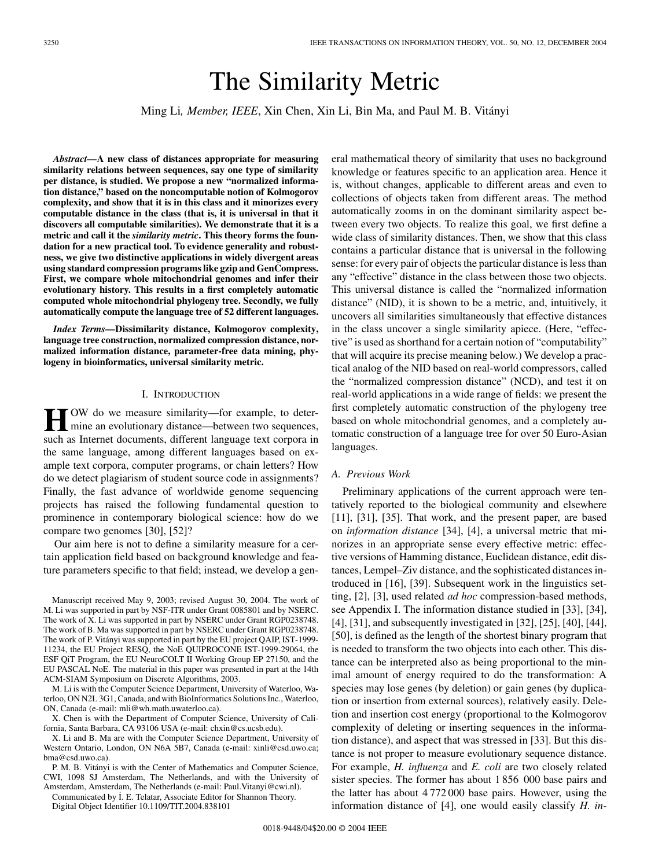# The Similarity Metric

Ming Li*, Member, IEEE*, Xin Chen, Xin Li, Bin Ma, and Paul M. B. Vitányi

*Abstract—***A new class of distances appropriate for measuring similarity relations between sequences, say one type of similarity per distance, is studied. We propose a new "normalized information distance," based on the noncomputable notion of Kolmogorov complexity, and show that it is in this class and it minorizes every computable distance in the class (that is, it is universal in that it discovers all computable similarities). We demonstrate that it is a metric and call it the** *similarity metric***. This theory forms the foundation for a new practical tool. To evidence generality and robustness, we give two distinctive applications in widely divergent areas using standard compression programs like gzip and GenCompress. First, we compare whole mitochondrial genomes and infer their evolutionary history. This results in a first completely automatic computed whole mitochondrial phylogeny tree. Secondly, we fully automatically compute the language tree of 52 different languages.**

*Index Terms—***Dissimilarity distance, Kolmogorov complexity, language tree construction, normalized compression distance, normalized information distance, parameter-free data mining, phylogeny in bioinformatics, universal similarity metric.**

#### I. INTRODUCTION

**H**OW do we measure similarity—for example, to deter-<br>mine an evolutionary distance—between two sequences,<br>such as Internet decuments, different language tout company in such as Internet documents, different language text corpora in the same language, among different languages based on example text corpora, computer programs, or chain letters? How do we detect plagiarism of student source code in assignments? Finally, the fast advance of worldwide genome sequencing projects has raised the following fundamental question to prominence in contemporary biological science: how do we compare two genomes [[30\]](#page-13-0), [[52\]](#page-14-0)?

Our aim here is not to define a similarity measure for a certain application field based on background knowledge and feature parameters specific to that field; instead, we develop a gen-

M. Li is with the Computer Science Department, University of Waterloo, Waterloo, ON N2L 3G1, Canada, and with BioInformatics Solutions Inc., Waterloo, ON, Canada (e-mail: mli@wh.math.uwaterloo.ca).

X. Chen is with the Department of Computer Science, University of California, Santa Barbara, CA 93106 USA (e-mail: chxin@cs.ucsb.edu).

X. Li and B. Ma are with the Computer Science Department, University of Western Ontario, London, ON N6A 5B7, Canada (e-mail: xinli@csd.uwo.ca; bma@csd.uwo.ca).

P. M. B. Vitányi is with the Center of Mathematics and Computer Science, CWI, 1098 SJ Amsterdam, The Netherlands, and with the University of Amsterdam, Amsterdam, The Netherlands (e-mail: Paul.Vitanyi@cwi.nl).

Communicated by I. E. Telatar, Associate Editor for Shannon Theory. Digital Object Identifier 10.1109/TIT.2004.838101

eral mathematical theory of similarity that uses no background knowledge or features specific to an application area. Hence it is, without changes, applicable to different areas and even to collections of objects taken from different areas. The method automatically zooms in on the dominant similarity aspect between every two objects. To realize this goal, we first define a wide class of similarity distances. Then, we show that this class contains a particular distance that is universal in the following sense: for every pair of objects the particular distance is less than any "effective" distance in the class between those two objects. This universal distance is called the "normalized information distance" (NID), it is shown to be a metric, and, intuitively, it uncovers all similarities simultaneously that effective distances in the class uncover a single similarity apiece. (Here, "effective" is used as shorthand for a certain notion of "computability" that will acquire its precise meaning below.) We develop a practical analog of the NID based on real-world compressors, called the "normalized compression distance" (NCD), and test it on real-world applications in a wide range of fields: we present the first completely automatic construction of the phylogeny tree based on whole mitochondrial genomes, and a completely automatic construction of a language tree for over 50 Euro-Asian languages.

## *A. Previous Work*

Preliminary applications of the current approach were tentatively reported to the biological community and elsewhere [[11\]](#page-13-0), [[31\]](#page-13-0), [[35\]](#page-13-0). That work, and the present paper, are based on *information distance* [\[34](#page-13-0)], [[4\]](#page-13-0), a universal metric that minorizes in an appropriate sense every effective metric: effective versions of Hamming distance, Euclidean distance, edit distances, Lempel–Ziv distance, and the sophisticated distances introduced in [[16\]](#page-13-0), [\[39](#page-13-0)]. Subsequent work in the linguistics setting, [[2\]](#page-13-0), [[3\]](#page-13-0), used related *ad hoc* compression-based methods, see Appendix I. The information distance studied in [\[33](#page-13-0)], [[34\]](#page-13-0), [[4\]](#page-13-0), [\[31](#page-13-0)], and subsequently investigated in [\[32](#page-13-0)], [\[25](#page-13-0)], [[40\]](#page-13-0), [[44\]](#page-14-0), [[50\]](#page-14-0), is defined as the length of the shortest binary program that is needed to transform the two objects into each other. This distance can be interpreted also as being proportional to the minimal amount of energy required to do the transformation: A species may lose genes (by deletion) or gain genes (by duplication or insertion from external sources), relatively easily. Deletion and insertion cost energy (proportional to the Kolmogorov complexity of deleting or inserting sequences in the information distance), and aspect that was stressed in [\[33](#page-13-0)]. But this distance is not proper to measure evolutionary sequence distance. For example, *H. influenza* and *E. coli* are two closely related sister species. The former has about 1 856 000 base pairs and the latter has about 4 772 000 base pairs. However, using the information distance of [[4\]](#page-13-0), one would easily classify *H. in-*

Manuscript received May 9, 2003; revised August 30, 2004. The work of M. Li was supported in part by NSF-ITR under Grant 0085801 and by NSERC. The work of X. Li was supported in part by NSERC under Grant RGP0238748. The work of B. Ma was supported in part by NSERC under Grant RGP0238748. The work of P. Vitányi was supported in part by the EU project QAIP, IST-1999- 11234, the EU Project RESQ, the NoE QUIPROCONE IST-1999-29064, the ESF QiT Program, the EU NeuroCOLT II Working Group EP 27150, and the EU PASCAL NoE. The material in this paper was presented in part at the 14th ACM-SIAM Symposium on Discrete Algorithms, 2003.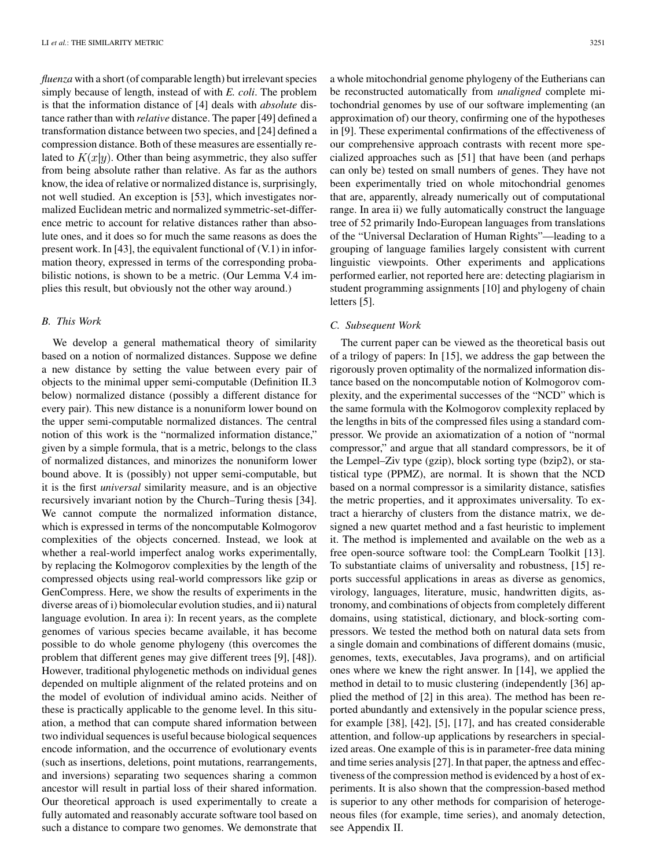*fluenza* with a short (of comparable length) but irrelevant species simply because of length, instead of with *E. coli*. The problem is that the information distance of [[4\]](#page-13-0) deals with *absolute* distance rather than with *relative* distance. The paper [\[49](#page-14-0)] defined a transformation distance between two species, and [\[24](#page-13-0)] defined a compression distance. Both of these measures are essentially related to  $K(x|y)$ . Other than being asymmetric, they also suffer from being absolute rather than relative. As far as the authors know, the idea of relative or normalized distance is, surprisingly, not well studied. An exception is [\[53](#page-14-0)], which investigates normalized Euclidean metric and normalized symmetric-set-difference metric to account for relative distances rather than absolute ones, and it does so for much the same reasons as does the present work. In [\[43](#page-14-0)], the equivalent functional of (V.1) in information theory, expressed in terms of the corresponding probabilistic notions, is shown to be a metric. (Our Lemma V.4 implies this result, but obviously not the other way around.)

# *B. This Work*

We develop a general mathematical theory of similarity based on a notion of normalized distances. Suppose we define a new distance by setting the value between every pair of objects to the minimal upper semi-computable (Definition II.3 below) normalized distance (possibly a different distance for every pair). This new distance is a nonuniform lower bound on the upper semi-computable normalized distances. The central notion of this work is the "normalized information distance," given by a simple formula, that is a metric, belongs to the class of normalized distances, and minorizes the nonuniform lower bound above. It is (possibly) not upper semi-computable, but it is the first *universal* similarity measure, and is an objective recursively invariant notion by the Church–Turing thesis [\[34](#page-13-0)]. We cannot compute the normalized information distance, which is expressed in terms of the noncomputable Kolmogorov complexities of the objects concerned. Instead, we look at whether a real-world imperfect analog works experimentally, by replacing the Kolmogorov complexities by the length of the compressed objects using real-world compressors like gzip or GenCompress. Here, we show the results of experiments in the diverse areas of i) biomolecular evolution studies, and ii) natural language evolution. In area i): In recent years, as the complete genomes of various species became available, it has become possible to do whole genome phylogeny (this overcomes the problem that different genes may give different trees [\[9](#page-13-0)], [\[48](#page-14-0)]). However, traditional phylogenetic methods on individual genes depended on multiple alignment of the related proteins and on the model of evolution of individual amino acids. Neither of these is practically applicable to the genome level. In this situation, a method that can compute shared information between two individual sequences is useful because biological sequences encode information, and the occurrence of evolutionary events (such as insertions, deletions, point mutations, rearrangements, and inversions) separating two sequences sharing a common ancestor will result in partial loss of their shared information. Our theoretical approach is used experimentally to create a fully automated and reasonably accurate software tool based on such a distance to compare two genomes. We demonstrate that

a whole mitochondrial genome phylogeny of the Eutherians can be reconstructed automatically from *unaligned* complete mitochondrial genomes by use of our software implementing (an approximation of) our theory, confirming one of the hypotheses in [[9\]](#page-13-0). These experimental confirmations of the effectiveness of our comprehensive approach contrasts with recent more specialized approaches such as [[51\]](#page-14-0) that have been (and perhaps can only be) tested on small numbers of genes. They have not been experimentally tried on whole mitochondrial genomes that are, apparently, already numerically out of computational range. In area ii) we fully automatically construct the language tree of 52 primarily Indo-European languages from translations of the "Universal Declaration of Human Rights"—leading to a grouping of language families largely consistent with current linguistic viewpoints. Other experiments and applications performed earlier, not reported here are: detecting plagiarism in student programming assignments [\[10](#page-13-0)] and phylogeny of chain letters [\[5](#page-13-0)].

### *C. Subsequent Work*

The current paper can be viewed as the theoretical basis out of a trilogy of papers: In [\[15](#page-13-0)], we address the gap between the rigorously proven optimality of the normalized information distance based on the noncomputable notion of Kolmogorov complexity, and the experimental successes of the "NCD" which is the same formula with the Kolmogorov complexity replaced by the lengths in bits of the compressed files using a standard compressor. We provide an axiomatization of a notion of "normal compressor," and argue that all standard compressors, be it of the Lempel–Ziv type (gzip), block sorting type (bzip2), or statistical type (PPMZ), are normal. It is shown that the NCD based on a normal compressor is a similarity distance, satisfies the metric properties, and it approximates universality. To extract a hierarchy of clusters from the distance matrix, we designed a new quartet method and a fast heuristic to implement it. The method is implemented and available on the web as a free open-source software tool: the CompLearn Toolkit [\[13](#page-13-0)]. To substantiate claims of universality and robustness, [[15\]](#page-13-0) reports successful applications in areas as diverse as genomics, virology, languages, literature, music, handwritten digits, astronomy, and combinations of objects from completely different domains, using statistical, dictionary, and block-sorting compressors. We tested the method both on natural data sets from a single domain and combinations of different domains (music, genomes, texts, executables, Java programs), and on artificial ones where we knew the right answer. In [\[14](#page-13-0)], we applied the method in detail to to music clustering (independently [[36\]](#page-13-0) applied the method of [[2\]](#page-13-0) in this area). The method has been reported abundantly and extensively in the popular science press, for example [[38\]](#page-13-0), [[42\]](#page-14-0), [\[5](#page-13-0)], [\[17](#page-13-0)], and has created considerable attention, and follow-up applications by researchers in specialized areas. One example of this is in parameter-free data mining and time series analysis [\[27](#page-13-0)]. In that paper, the aptness and effectiveness of the compression method is evidenced by a host of experiments. It is also shown that the compression-based method is superior to any other methods for comparision of heterogeneous files (for example, time series), and anomaly detection, see Appendix II.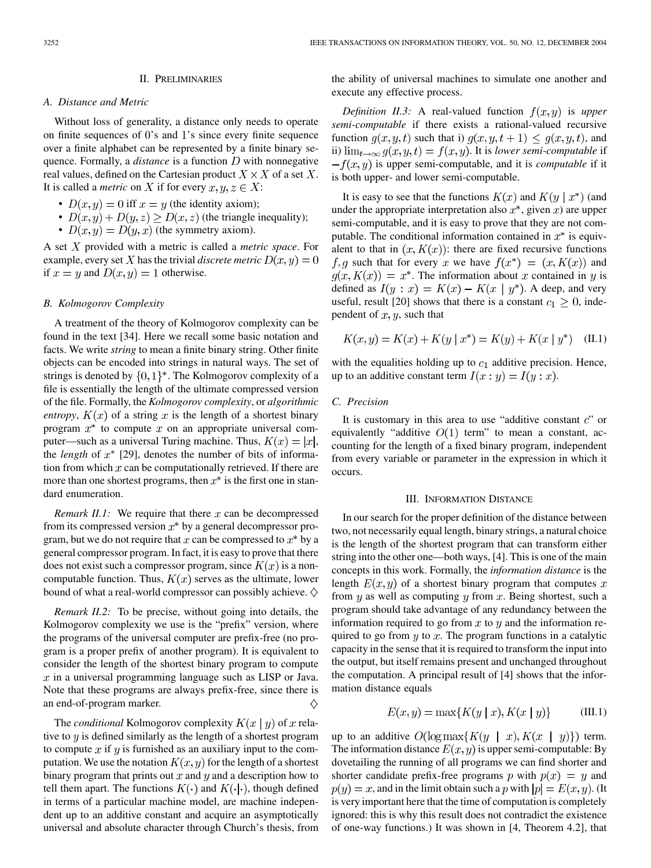## II. PRELIMINARIES

## *A. Distance and Metric*

Without loss of generality, a distance only needs to operate on finite sequences of  $0$ 's and  $1$ 's since every finite sequence over a finite alphabet can be represented by a finite binary sequence. Formally, a *distance* is a function  $D$  with nonnegative real values, defined on the Cartesian product  $X \times X$  of a set X. It is called a *metric* on X if for every  $x, y, z \in X$ :

- $D(x, y) = 0$  iff  $x = y$  (the identity axiom);
- $D(x, y) + D(y, z) \ge D(x, z)$  (the triangle inequality);
- $D(x, y) = D(y, x)$  (the symmetry axiom).

A set X provided with a metric is called a *metric space*. For example, every set X has the trivial *discrete metric*  $D(x, y) = 0$ if  $x = y$  and  $D(x, y) = 1$  otherwise.

#### *B. Kolmogorov Complexity*

A treatment of the theory of Kolmogorov complexity can be found in the text [[34\]](#page-13-0). Here we recall some basic notation and facts. We write *string* to mean a finite binary string. Other finite objects can be encoded into strings in natural ways. The set of strings is denoted by  $\{0,1\}^*$ . The Kolmogorov complexity of a file is essentially the length of the ultimate compressed version of the file. Formally, the *Kolmogorov complexity*, or *algorithmic entropy*,  $K(x)$  of a string x is the length of a shortest binary program  $x^*$  to compute x on an appropriate universal computer—such as a universal Turing machine. Thus,  $K(x) = |x|$ , the *length* of  $x^*$  [\[29](#page-13-0)], denotes the number of bits of information from which  $x$  can be computationally retrieved. If there are more than one shortest programs, then  $x^*$  is the first one in standard enumeration.

*Remark II.1:* We require that there  $x$  can be decompressed from its compressed version  $x^*$  by a general decompressor program, but we do not require that x can be compressed to  $x^*$  by a general compressor program. In fact, it is easy to prove that there does not exist such a compressor program, since  $K(x)$  is a noncomputable function. Thus,  $K(x)$  serves as the ultimate, lower bound of what a real-world compressor can possibly achieve.  $\diamondsuit$ 

*Remark II.2:* To be precise, without going into details, the Kolmogorov complexity we use is the "prefix" version, where the programs of the universal computer are prefix-free (no program is a proper prefix of another program). It is equivalent to consider the length of the shortest binary program to compute  $x$  in a universal programming language such as LISP or Java. Note that these programs are always prefix-free, since there is an end-of-program marker.

The *conditional* Kolmogorov complexity  $K(x | y)$  of x relative to  $y$  is defined similarly as the length of a shortest program to compute x if y is furnished as an auxiliary input to the computation. We use the notation  $K(x, y)$  for the length of a shortest binary program that prints out  $x$  and  $y$  and a description how to tell them apart. The functions  $K(\cdot)$  and  $K(\cdot|\cdot)$ , though defined in terms of a particular machine model, are machine independent up to an additive constant and acquire an asymptotically universal and absolute character through Church's thesis, from

the ability of universal machines to simulate one another and execute any effective process.

*Definition II.3:* A real-valued function  $f(x, y)$  is *upper semi-computable* if there exists a rational-valued recursive function  $g(x, y, t)$  such that i)  $g(x, y, t + 1) \le g(x, y, t)$ , and ii)  $\lim_{t\to\infty} g(x, y, t) = f(x, y)$ . It is *lower semi-computable* if  $-f(x, y)$  is upper semi-computable, and it is *computable* if it is both upper- and lower semi-computable.

It is easy to see that the functions  $K(x)$  and  $K(y \mid x^*)$  (and under the appropriate interpretation also  $x^*$ , given x) are upper semi-computable, and it is easy to prove that they are not computable. The conditional information contained in  $x^*$  is equivalent to that in  $(x, K(x))$ : there are fixed recursive functions  $f, g$  such that for every x we have  $f(x^*) = (x, K(x))$  and  $g(x,K(x)) = x^*$ . The information about x contained in y is defined as  $I(y : x) = K(x) - K(x | y^*)$ . A deep, and very useful, result [[20\]](#page-13-0) shows that there is a constant  $c_1 \geq 0$ , independent of  $x, y$ , such that

$$
K(x, y) = K(x) + K(y | x^*) = K(y) + K(x | y^*)
$$
 (II.1)

with the equalities holding up to  $c_1$  additive precision. Hence, up to an additive constant term  $I(x : y) = I(y : x)$ .

## *C. Precision*

It is customary in this area to use "additive constant  $c$ " or equivalently "additive  $O(1)$  term" to mean a constant, accounting for the length of a fixed binary program, independent from every variable or parameter in the expression in which it occurs.

## III. INFORMATION DISTANCE

In our search for the proper definition of the distance between two, not necessarily equal length, binary strings, a natural choice is the length of the shortest program that can transform either string into the other one—both ways, [[4\]](#page-13-0). This is one of the main concepts in this work. Formally, the *information distance* is the length  $E(x, y)$  of a shortest binary program that computes x from  $y$  as well as computing  $y$  from  $x$ . Being shortest, such a program should take advantage of any redundancy between the information required to go from  $x$  to  $y$  and the information required to go from  $y$  to  $x$ . The program functions in a catalytic capacity in the sense that it is required to transform the input into the output, but itself remains present and unchanged throughout the computation. A principal result of [\[4](#page-13-0)] shows that the information distance equals

$$
E(x, y) = \max\{K(y \mid x), K(x \mid y)\}\tag{III.1}
$$

up to an additive  $O(\log \max\{K(y \mid x), K(x \mid y)\})$  term. The information distance  $E(x, y)$  is upper semi-computable: By dovetailing the running of all programs we can find shorter and shorter candidate prefix-free programs p with  $p(x) = y$  and  $p(y) = x$ , and in the limit obtain such a p with  $|p| = E(x, y)$ . (It is very important here that the time of computation is completely ignored: this is why this result does not contradict the existence of one-way functions.) It was shown in [[4,](#page-13-0) Theorem 4.2], that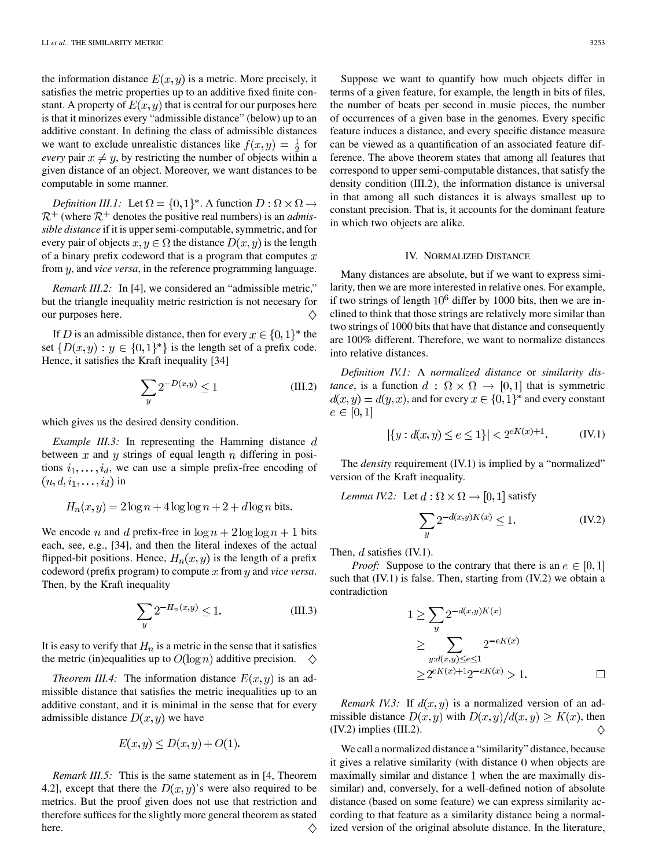the information distance  $E(x, y)$  is a metric. More precisely, it satisfies the metric properties up to an additive fixed finite constant. A property of  $E(x, y)$  that is central for our purposes here is that it minorizes every "admissible distance" (below) up to an additive constant. In defining the class of admissible distances we want to exclude unrealistic distances like  $f(x, y) = \frac{1}{2}$  for *every* pair  $x \neq y$ , by restricting the number of objects within a given distance of an object. Moreover, we want distances to be computable in some manner.

*Definition III.1:* Let  $\Omega = \{0,1\}^*$ . A function  $D : \Omega \times \Omega \rightarrow$  $\mathcal{R}^+$  (where  $\mathcal{R}^+$  denotes the positive real numbers) is an *admissible distance* if it is upper semi-computable, symmetric, and for every pair of objects  $x, y \in \Omega$  the distance  $D(x, y)$  is the length of a binary prefix codeword that is a program that computes  $x$ from y, and *vice versa*, in the reference programming language.

*Remark III.2:* In [[4\]](#page-13-0), we considered an "admissible metric," but the triangle inequality metric restriction is not necesary for our purposes here. ♦

If D is an admissible distance, then for every  $x \in \{0,1\}^*$  the set  $\{D(x, y) : y \in \{0, 1\}^*\}$  is the length set of a prefix code. Hence, it satisfies the Kraft inequality [[34\]](#page-13-0)

$$
\sum_{y} 2^{-D(x,y)} \le 1\tag{III.2}
$$

which gives us the desired density condition.

*Example III.3:* In representing the Hamming distance d between  $x$  and  $y$  strings of equal length  $n$  differing in positions  $i_1, \ldots, i_d$ , we can use a simple prefix-free encoding of  $(n,d,i_1,\ldots,i_d)$  in

$$
H_n(x, y) = 2\log n + 4\log \log n + 2 + d\log n
$$
 bits.

We encode *n* and *d* prefix-free in  $\log n + 2 \log \log n + 1$  bits each, see, e.g., [[34\]](#page-13-0), and then the literal indexes of the actual flipped-bit positions. Hence,  $H_n(x, y)$  is the length of a prefix codeword (prefix program) to compute  $x$  from  $y$  and *vice versa*. Then, by the Kraft inequality

$$
\sum_{y} 2^{-H_n(x,y)} \le 1. \tag{III.3}
$$

It is easy to verify that  $H_n$  is a metric in the sense that it satisfies the metric (in)equalities up to  $O(\log n)$  additive precision.  $\diamondsuit$ 

*Theorem III.4:* The information distance  $E(x, y)$  is an admissible distance that satisfies the metric inequalities up to an additive constant, and it is minimal in the sense that for every admissible distance  $D(x, y)$  we have

$$
E(x, y) \le D(x, y) + O(1).
$$

*Remark III.5:* This is the same statement as in [[4,](#page-13-0) Theorem 4.2], except that there the  $D(x, y)$ 's were also required to be metrics. But the proof given does not use that restriction and therefore suffices for the slightly more general theorem as stated here. ♦

Suppose we want to quantify how much objects differ in terms of a given feature, for example, the length in bits of files, the number of beats per second in music pieces, the number of occurrences of a given base in the genomes. Every specific feature induces a distance, and every specific distance measure can be viewed as a quantification of an associated feature difference. The above theorem states that among all features that correspond to upper semi-computable distances, that satisfy the density condition (III.2), the information distance is universal in that among all such distances it is always smallest up to constant precision. That is, it accounts for the dominant feature

#### IV. NORMALIZED DISTANCE

in which two objects are alike.

Many distances are absolute, but if we want to express similarity, then we are more interested in relative ones. For example, if two strings of length  $10^6$  differ by 1000 bits, then we are inclined to think that those strings are relatively more similar than two strings of 1000 bits that have that distance and consequently are 100% different. Therefore, we want to normalize distances into relative distances.

*Definition IV.1:* A *normalized distance* or *similarity distance*, is a function  $d : \Omega \times \Omega \rightarrow [0,1]$  that is symmetric  $d(x, y) = d(y, x)$ , and for every  $x \in \{0, 1\}^*$  and every constant  $e \in [0,1]$ 

$$
|\{y : d(x, y) \le e \le 1\}| < 2^{eK(x)+1}.
$$
 (IV.1)

The *density* requirement (IV.1) is implied by a "normalized" version of the Kraft inequality.

*Lemma IV.2:* Let 
$$
d : \Omega \times \Omega \to [0,1]
$$
 satisfy

$$
\sum_{y} 2^{-d(x,y)K(x)} \le 1.
$$
 (IV.2)

Then,  $d$  satisfies (IV.1).

*Proof:* Suppose to the contrary that there is an  $e \in [0,1]$ such that (IV.1) is false. Then, starting from (IV.2) we obtain a contradiction

$$
1 \ge \sum_{y} 2^{-d(x,y)K(x)}
$$
  
\n
$$
\ge \sum_{y:d(x,y)\le e\le 1} 2^{-eK(x)}
$$
  
\n
$$
\ge 2^{eK(x)+1}2^{-eK(x)} > 1.
$$

*Remark IV.3:* If  $d(x, y)$  is a normalized version of an admissible distance  $D(x, y)$  with  $D(x, y)/d(x, y) \ge K(x)$ , then (IV.2) implies (III.2).

We call a normalized distance a "similarity" distance, because it gives a relative similarity (with distance  $\theta$  when objects are maximally similar and distance  $1$  when the are maximally dissimilar) and, conversely, for a well-defined notion of absolute distance (based on some feature) we can express similarity according to that feature as a similarity distance being a normalized version of the original absolute distance. In the literature,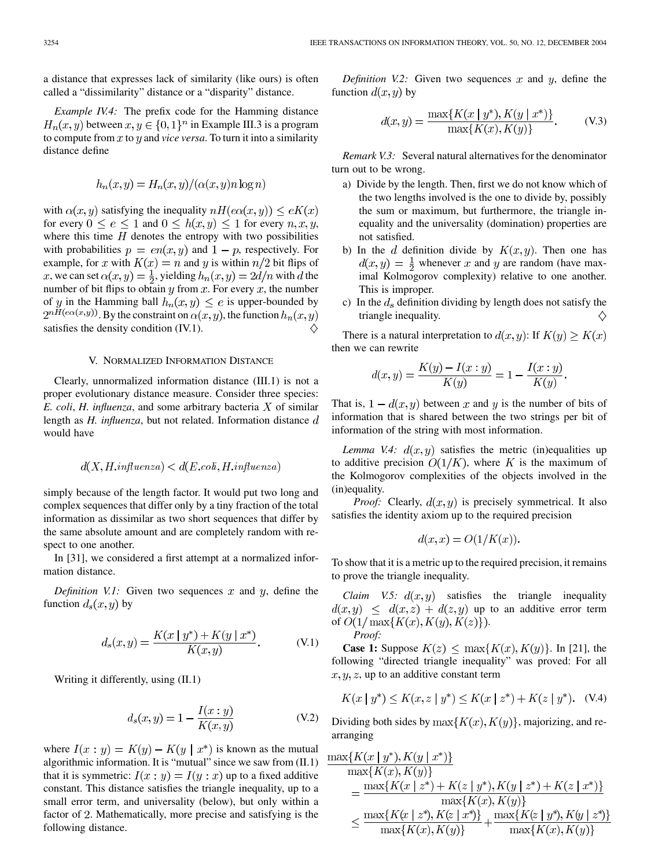a distance that expresses lack of similarity (like ours) is often called a "dissimilarity" distance or a "disparity" distance.

*Example IV.4:* The prefix code for the Hamming distance  $H_n(x, y)$  between  $x, y \in \{0, 1\}^n$  in Example III.3 is a program to compute from  $x$  to  $y$  and *vice versa*. To turn it into a similarity distance define

$$
h_n(x, y) = H_n(x, y) / (\alpha(x, y) n \log n)
$$

with  $\alpha(x, y)$  satisfying the inequality  $nH(e\alpha(x, y)) \leq eK(x)$ for every  $0 \le e \le 1$  and  $0 \le h(x, y) \le 1$  for every  $n, x, y$ , where this time  $H$  denotes the entropy with two possibilities with probabilities  $p = en(x, y)$  and  $1 - p$ , respectively. For example, for x with  $K(x) = n$  and y is within  $n/2$  bit flips of x, we can set  $\alpha(x, y) = \frac{1}{2}$ , yielding  $h_n(x, y) = 2d/n$  with d the number of bit flips to obtain  $y$  from  $x$ . For every  $x$ , the number of y in the Hamming ball  $h_n(x, y) \leq e$  is upper-bounded by  $2^{nH(e\alpha(x,y))}$ . By the constraint on  $\alpha(x,y)$ , the function  $h_n(x,y)$ satisfies the density condition (IV.1). ♦

#### V. NORMALIZED INFORMATION DISTANCE

Clearly, unnormalized information distance (III.1) is not a proper evolutionary distance measure. Consider three species: *E. coli, H. influenza*, and some arbitrary bacteria  $X$  of similar length as *H. influenza*, but not related. Information distance would have

$$
d(X, H, influenza) < d(E. coli, H, influenza)
$$

simply because of the length factor. It would put two long and complex sequences that differ only by a tiny fraction of the total information as dissimilar as two short sequences that differ by the same absolute amount and are completely random with respect to one another.

In [\[31](#page-13-0)], we considered a first attempt at a normalized information distance.

*Definition V.1:* Given two sequences  $x$  and  $y$ , define the function  $d_s(x, y)$  by

$$
d_s(x,y) = \frac{K(x \mid y^*) + K(y \mid x^*)}{K(x,y)}.
$$
 (V.1)

Writing it differently, using (II.1)

$$
d_s(x, y) = 1 - \frac{I(x : y)}{K(x, y)}
$$
(V.2)

where  $I(x : y) = K(y) - K(y | x^*)$  is known as the mutual algorithmic information. It is "mutual" since we saw from (II.1) that it is symmetric:  $I(x : y) = I(y : x)$  up to a fixed additive constant. This distance satisfies the triangle inequality, up to a small error term, and universality (below), but only within a factor of 2. Mathematically, more precise and satisfying is the following distance.

*Definition V.2:* Given two sequences  $x$  and  $y$ , define the function  $d(x, y)$  by

$$
d(x,y) = \frac{\max\{K(x \mid y^*), K(y \mid x^*)\}}{\max\{K(x), K(y)\}}.
$$
 (V.3)

*Remark V.3:* Several natural alternatives for the denominator turn out to be wrong.

- a) Divide by the length. Then, first we do not know which of the two lengths involved is the one to divide by, possibly the sum or maximum, but furthermore, the triangle inequality and the universality (domination) properties are not satisfied.
- b) In the  $d$  definition divide by  $K(x, y)$ . Then one has  $d(x,y) = \frac{1}{2}$  whenever x and y are random (have maximal Kolmogorov complexity) relative to one another. This is improper.
- c) In the  $d_s$  definition dividing by length does not satisfy the triangle inequality.

There is a natural interpretation to  $d(x, y)$ : If  $K(y) \ge K(x)$ then we can rewrite

$$
d(x,y) = \frac{K(y) - I(x:y)}{K(y)} = 1 - \frac{I(x:y)}{K(y)}.
$$

That is,  $1 - d(x, y)$  between x and y is the number of bits of information that is shared between the two strings per bit of information of the string with most information.

*Lemma V.4:*  $d(x, y)$  satisfies the metric (in)equalities up to additive precision  $O(1/K)$ , where K is the maximum of the Kolmogorov complexities of the objects involved in the (in)equality.

*Proof:* Clearly,  $d(x, y)$  is precisely symmetrical. It also satisfies the identity axiom up to the required precision

$$
d(x, x) = O(1/K(x)).
$$

To show that it is a metric up to the required precision, it remains to prove the triangle inequality.

*Claim V.5:*  $d(x, y)$  satisfies the triangle inequality  $d(x,y) \leq d(x,z) + d(z,y)$  up to an additive error term of  $O(1/\max\{K(x), K(y), K(z)\}).$ *Proof:*

**Case 1:** Suppose  $K(z) \leq \max\{K(x), K(y)\}\$ . In [\[21](#page-13-0)], the following "directed triangle inequality" was proved: For all  $x, y, z$ , up to an additive constant term

$$
K(x \mid y^*) \le K(x, z \mid y^*) \le K(x \mid z^*) + K(z \mid y^*). \quad (V.4)
$$

Dividing both sides by  $\max\{K(x), K(y)\}\$ , majorizing, and rearranging

$$
\frac{\max\{K(x \mid y^*), K(y \mid x^*)\}}{\max\{K(x), K(y)\}} = \frac{\max\{K(x), K(y)\}}{\max\{K(x) \mid x^* \mid + K(z \mid y^*), K(y \mid z^*) + K(z \mid x^*)\}} \le \frac{\max\{K(x \mid z^*), K(z \mid x^*)\}}{\max\{K(x), K(y)\}} + \frac{\max\{K(z \mid y^*), K(y \mid z^*)\}}{\max\{K(x), K(y)\}}
$$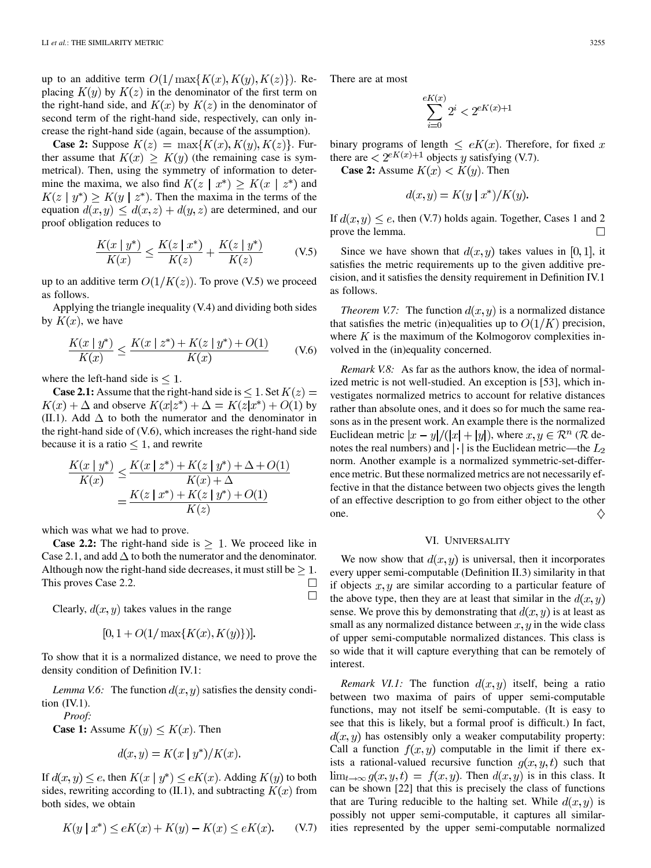up to an additive term  $O(1/\max\{K(x), K(y), K(z)\})$ . Replacing  $K(y)$  by  $K(z)$  in the denominator of the first term on the right-hand side, and  $K(x)$  by  $K(z)$  in the denominator of second term of the right-hand side, respectively, can only increase the right-hand side (again, because of the assumption).

**Case 2:** Suppose  $K(z) = \max\{K(x), K(y), K(z)\}.$  Further assume that  $K(x) \geq K(y)$  (the remaining case is symmetrical). Then, using the symmetry of information to determine the maxima, we also find  $K(z \mid x^*) \geq K(x \mid z^*)$  and  $K(z \mid y^*) \geq K(y \mid z^*)$ . Then the maxima in the terms of the equation  $d(x, y) \leq d(x, z) + d(y, z)$  are determined, and our proof obligation reduces to

$$
\frac{K(x \mid y^*)}{K(x)} \le \frac{K(z \mid x^*)}{K(z)} + \frac{K(z \mid y^*)}{K(z)} \tag{V.5}
$$

up to an additive term  $O(1/K(z))$ . To prove (V.5) we proceed as follows.

Applying the triangle inequality (V.4) and dividing both sides by  $K(x)$ , we have

$$
\frac{K(x \mid y^*)}{K(x)} \le \frac{K(x \mid z^*) + K(z \mid y^*) + O(1)}{K(x)}
$$
(V.6)

where the left-hand side is  $\leq 1$ .

**Case 2.1:** Assume that the right-hand side is  $\leq 1$ . Set  $K(z)$  =  $K(x) + \Delta$  and observe  $K(x|z^*) + \Delta = K(z|x^*) + O(1)$  by (II.1). Add  $\Delta$  to both the numerator and the denominator in the right-hand side of (V.6), which increases the right-hand side because it is a ratio  $\leq 1$ , and rewrite

$$
\frac{K(x \mid y^*)}{K(x)} \le \frac{K(x \mid z^*) + K(z \mid y^*) + \Delta + O(1)}{K(x) + \Delta}
$$

$$
= \frac{K(z \mid x^*) + K(z \mid y^*) + O(1)}{K(z)}
$$

which was what we had to prove.

**Case 2.2:** The right-hand side is  $\geq 1$ . We proceed like in Case 2.1, and add  $\Delta$  to both the numerator and the denominator. Although now the right-hand side decreases, it must still be  $\geq 1$ . This proves Case 2.2.  $\Box$ 

 $\Box$ 

Clearly,  $d(x, y)$  takes values in the range

$$
[0,1+O(1/\max\{K(x),K(y)\})].
$$

To show that it is a normalized distance, we need to prove the density condition of Definition IV.1:

*Lemma V.6:* The function  $d(x, y)$  satisfies the density condition (IV.1).

*Proof:*

**Case 1:** Assume  $K(y) \leq K(x)$ . Then

$$
d(x, y) = K(x | y^*) / K(x)
$$

If  $d(x, y) \leq e$ , then  $K(x | y^*) \leq eK(x)$ . Adding  $K(y)$  to both sides, rewriting according to (II.1), and subtracting  $K(x)$  from both sides, we obtain

$$
K(y \mid x^*) \le eK(x) + K(y) - K(x) \le eK(x). \tag{V.7}
$$

There are at most

$$
\sum_{i=0}^{K(x)} 2^i < 2^{eK(x)+1}
$$

binary programs of length  $\leq eK(x)$ . Therefore, for fixed x there are  $\langle 2^{eK(x)+1} \text{ objects } y \text{ satisfying (V.7)}.$ 

**Case 2:** Assume  $K(x) < K(y)$ . Then

$$
d(x, y) = K(y \mid x^*)/K(y).
$$

If  $d(x, y) \leq e$ , then (V.7) holds again. Together, Cases 1 and 2 prove the lemma.  $\Box$ 

Since we have shown that  $d(x, y)$  takes values in [0, 1], it satisfies the metric requirements up to the given additive precision, and it satisfies the density requirement in Definition IV.1 as follows.

*Theorem V.7:* The function  $d(x, y)$  is a normalized distance that satisfies the metric (in)equalities up to  $O(1/K)$  precision, where  $K$  is the maximum of the Kolmogorov complexities involved in the (in)equality concerned.

*Remark V.8:* As far as the authors know, the idea of normalized metric is not well-studied. An exception is [[53\]](#page-14-0), which investigates normalized metrics to account for relative distances rather than absolute ones, and it does so for much the same reasons as in the present work. An example there is the normalized Euclidean metric  $|x - y|/(|x| + |y|)$ , where  $x, y \in \mathbb{R}^n$  ( $\mathbb{R}$  denotes the real numbers) and  $|\cdot|$  is the Euclidean metric—the  $L_2$ norm. Another example is a normalized symmetric-set-difference metric. But these normalized metrics are not necessarily effective in that the distance between two objects gives the length of an effective description to go from either object to the other ♦ one.

# VI. UNIVERSALITY

We now show that  $d(x, y)$  is universal, then it incorporates every upper semi-computable (Definition II.3) similarity in that if objects  $x, y$  are similar according to a particular feature of the above type, then they are at least that similar in the  $d(x, y)$ sense. We prove this by demonstrating that  $d(x, y)$  is at least as small as any normalized distance between  $x, y$  in the wide class of upper semi-computable normalized distances. This class is so wide that it will capture everything that can be remotely of interest.

*Remark VI.1:* The function  $d(x, y)$  itself, being a ratio between two maxima of pairs of upper semi-computable functions, may not itself be semi-computable. (It is easy to see that this is likely, but a formal proof is difficult.) In fact,  $d(x, y)$  has ostensibly only a weaker computability property: Call a function  $f(x, y)$  computable in the limit if there exists a rational-valued recursive function  $g(x, y, t)$  such that  $\lim_{t\to\infty} g(x, y, t) = f(x, y)$ . Then  $d(x, y)$  is in this class. It can be shown [\[22](#page-13-0)] that this is precisely the class of functions that are Turing reducible to the halting set. While  $d(x, y)$  is possibly not upper semi-computable, it captures all similarities represented by the upper semi-computable normalized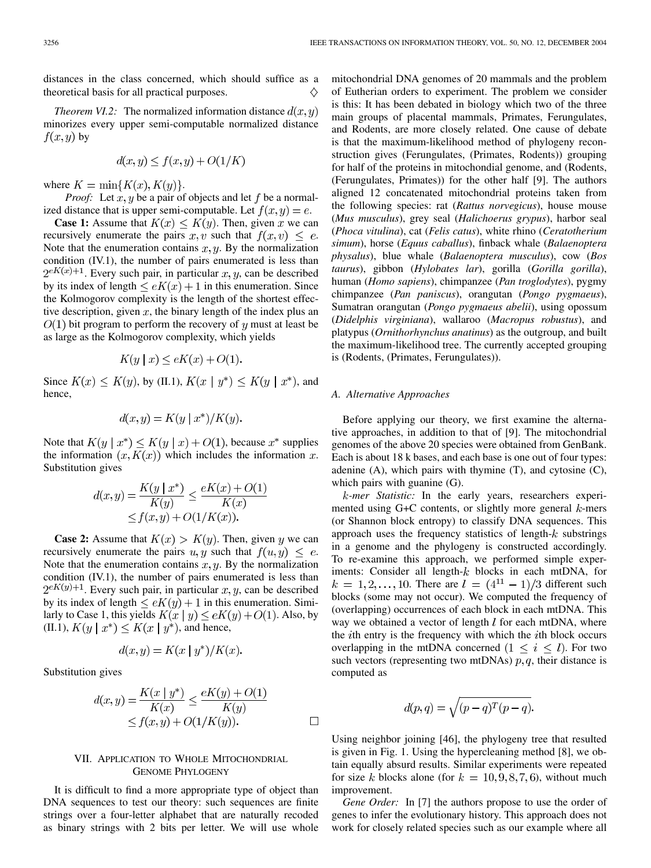distances in the class concerned, which should suffice as a theoretical basis for all practical purposes. ♦

*Theorem VI.2:* The normalized information distance  $d(x, y)$ minorizes every upper semi-computable normalized distance  $f(x,y)$  by

$$
d(x, y) \le f(x, y) + O(1/K)
$$

where  $K = \min\{K(x), K(y)\}.$ 

*Proof:* Let  $x, y$  be a pair of objects and let  $f$  be a normalized distance that is upper semi-computable. Let  $f(x, y) = e$ .

**Case 1:** Assume that  $K(x) \leq K(y)$ . Then, given x we can recursively enumerate the pairs x, v such that  $f(x, v) \leq e$ . Note that the enumeration contains  $x, y$ . By the normalization condition (IV.1), the number of pairs enumerated is less than  $2^{eK(x)+1}$ . Every such pair, in particular x, y, can be described by its index of length  $\leq eK(x) + 1$  in this enumeration. Since the Kolmogorov complexity is the length of the shortest effective description, given  $x$ , the binary length of the index plus an  $\dot{D}(1)$  bit program to perform the recovery of y must at least be as large as the Kolmogorov complexity, which yields

$$
K(y \mid x) \le eK(x) + O(1).
$$

Since  $K(x) \leq K(y)$ , by (II.1),  $K(x \mid y^*) \leq K(y \mid x^*)$ , and hence,

$$
d(x, y) = K(y \mid x^*)/K(y).
$$

Note that  $K(y \mid x^*) \le K(y \mid x) + O(1)$ , because  $x^*$  supplies the information  $(x, K(x))$  which includes the information x. Substitution gives

$$
d(x,y) = \frac{K(y \mid x^*)}{K(y)} \le \frac{eK(x) + O(1)}{K(x)}
$$
  
\n
$$
\le f(x,y) + O(1/K(x)).
$$

**Case 2:** Assume that  $K(x) > K(y)$ . Then, given y we can recursively enumerate the pairs  $u, y$  such that  $f(u, y) \leq e$ . Note that the enumeration contains  $x, y$ . By the normalization condition (IV.1), the number of pairs enumerated is less than  $2^{eK(y)+1}$ . Every such pair, in particular x, y, can be described by its index of length  $\leq eK(y) + 1$  in this enumeration. Similarly to Case 1, this yields  $K(x | y) \le eK(y) + O(1)$ . Also, by (II.1),  $K(y \mid x^*) \leq K(x \mid y^*)$ , and hence,

$$
d(x, y) = K(x | y^*) / K(x).
$$

Substitution gives

$$
d(x,y) = \frac{K(x \mid y^*)}{K(x)} \le \frac{eK(y) + O(1)}{K(y)} \le f(x,y) + O(1/K(y)).
$$

# VII. APPLICATION TO WHOLE MITOCHONDRIAL GENOME PHYLOGENY

It is difficult to find a more appropriate type of object than DNA sequences to test our theory: such sequences are finite strings over a four-letter alphabet that are naturally recoded as binary strings with 2 bits per letter. We will use whole

mitochondrial DNA genomes of 20 mammals and the problem of Eutherian orders to experiment. The problem we consider is this: It has been debated in biology which two of the three main groups of placental mammals, Primates, Ferungulates, and Rodents, are more closely related. One cause of debate is that the maximum-likelihood method of phylogeny reconstruction gives (Ferungulates, (Primates, Rodents)) grouping for half of the proteins in mitochondial genome, and (Rodents, (Ferungulates, Primates)) for the other half [[9\]](#page-13-0). The authors aligned 12 concatenated mitochondrial proteins taken from the following species: rat (*Rattus norvegicus*), house mouse (*Mus musculus*), grey seal (*Halichoerus grypus*), harbor seal (*Phoca vitulina*), cat (*Felis catus*), white rhino (*Ceratotherium simum*), horse (*Equus caballus*), finback whale (*Balaenoptera physalus*), blue whale (*Balaenoptera musculus*), cow (*Bos taurus*), gibbon (*Hylobates lar*), gorilla (*Gorilla gorilla*), human (*Homo sapiens*), chimpanzee (*Pan troglodytes*), pygmy chimpanzee (*Pan paniscus*), orangutan (*Pongo pygmaeus*), Sumatran orangutan (*Pongo pygmaeus abelii*), using opossum (*Didelphis virginiana*), wallaroo (*Macropus robustus*), and platypus (*Ornithorhynchus anatinus*) as the outgroup, and built the maximum-likelihood tree. The currently accepted grouping is (Rodents, (Primates, Ferungulates)).

#### *A. Alternative Approaches*

Before applying our theory, we first examine the alternative approaches, in addition to that of [\[9](#page-13-0)]. The mitochondrial genomes of the above 20 species were obtained from GenBank. Each is about 18 k bases, and each base is one out of four types: adenine (A), which pairs with thymine (T), and cytosine (C), which pairs with guanine (G).

*-mer Statistic:* In the early years, researchers experimented using G+C contents, or slightly more general  $k$ -mers (or Shannon block entropy) to classify DNA sequences. This approach uses the frequency statistics of length- $k$  substrings in a genome and the phylogeny is constructed accordingly. To re-examine this approach, we performed simple experiments: Consider all length- $k$  blocks in each mtDNA, for  $k = 1, 2, ..., 10$ . There are  $l = (4^{11} - 1)/3$  different such blocks (some may not occur). We computed the frequency of (overlapping) occurrences of each block in each mtDNA. This way we obtained a vector of length  $l$  for each mtDNA, where the  $i$ th entry is the frequency with which the  $i$ th block occurs overlapping in the mtDNA concerned  $(1 \le i \le l)$ . For two such vectors (representing two mtDNAs)  $p, q$ , their distance is computed as

$$
d(p,q) = \sqrt{(p-q)^T (p-q)}.
$$

Using neighbor joining [\[46](#page-14-0)], the phylogeny tree that resulted is given in Fig. 1. Using the hypercleaning method [\[8](#page-13-0)], we obtain equally absurd results. Similar experiments were repeated for size k blocks alone (for  $k = 10, 9, 8, 7, 6$ ), without much improvement.

*Gene Order:* In [[7\]](#page-13-0) the authors propose to use the order of genes to infer the evolutionary history. This approach does not work for closely related species such as our example where all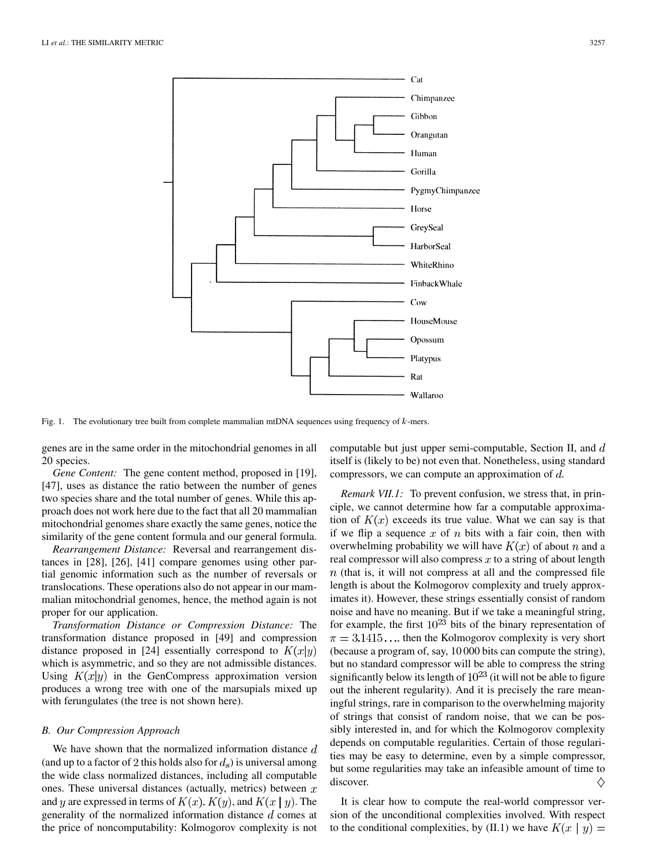

Fig. 1. The evolutionary tree built from complete mammalian mtDNA sequences using frequency of  $k$ -mers.

genes are in the same order in the mitochondrial genomes in all 20 species.

*Gene Content:* The gene content method, proposed in [\[19](#page-13-0)], [\[47](#page-14-0)], uses as distance the ratio between the number of genes two species share and the total number of genes. While this approach does not work here due to the fact that all 20 mammalian mitochondrial genomes share exactly the same genes, notice the similarity of the gene content formula and our general formula.

*Rearrangement Distance:* Reversal and rearrangement distances in [\[28](#page-13-0)], [\[26](#page-13-0)], [\[41](#page-14-0)] compare genomes using other partial genomic information such as the number of reversals or translocations. These operations also do not appear in our mammalian mitochondrial genomes, hence, the method again is not proper for our application.

*Transformation Distance or Compression Distance:* The transformation distance proposed in [[49\]](#page-14-0) and compression distance proposed in [\[24](#page-13-0)] essentially correspond to  $K(x|y)$ which is asymmetric, and so they are not admissible distances. Using  $K(x|y)$  in the GenCompress approximation version produces a wrong tree with one of the marsupials mixed up with ferungulates (the tree is not shown here).

#### *B. Our Compression Approach*

We have shown that the normalized information distance  $d$ (and up to a factor of 2 this holds also for  $d_s$ ) is universal among the wide class normalized distances, including all computable ones. These universal distances (actually, metrics) between  $x$ and y are expressed in terms of  $K(x)$ ,  $K(y)$ , and  $K(x | y)$ . The generality of the normalized information distance  $d$  comes at the price of noncomputability: Kolmogorov complexity is not

computable but just upper semi-computable, Section II, and  $d$ itself is (likely to be) not even that. Nonetheless, using standard compressors, we can compute an approximation of  $d$ .

*Remark VII.1:* To prevent confusion, we stress that, in principle, we cannot determine how far a computable approximation of  $K(x)$  exceeds its true value. What we can say is that if we flip a sequence  $x$  of  $n$  bits with a fair coin, then with overwhelming probability we will have  $K(x)$  of about n and a real compressor will also compress  $x$  to a string of about length  $n$  (that is, it will not compress at all and the compressed file length is about the Kolmogorov complexity and truely approximates it). However, these strings essentially consist of random noise and have no meaning. But if we take a meaningful string, for example, the first  $10^{23}$  bits of the binary representation of  $\pi = 3.1415...$ , then the Kolmogorov complexity is very short (because a program of, say, 10 000 bits can compute the string), but no standard compressor will be able to compress the string significantly below its length of  $10^{23}$  (it will not be able to figure out the inherent regularity). And it is precisely the rare meaningful strings, rare in comparison to the overwhelming majority of strings that consist of random noise, that we can be possibly interested in, and for which the Kolmogorov complexity depends on computable regularities. Certain of those regularities may be easy to determine, even by a simple compressor, but some regularities may take an infeasible amount of time to discover. ♦

It is clear how to compute the real-world compressor version of the unconditional complexities involved. With respect to the conditional complexities, by (II.1) we have  $K(x | y) =$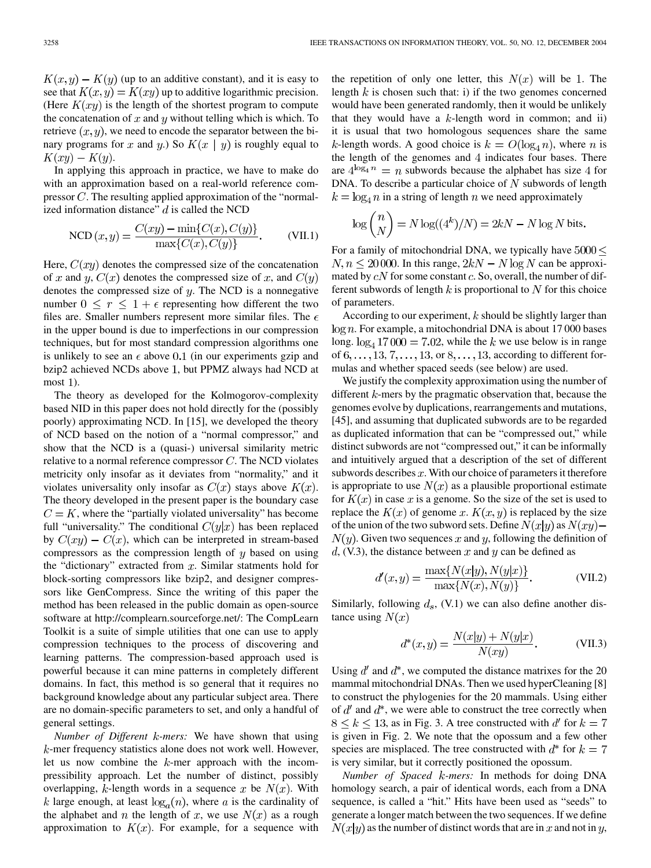$K(x, y) - K(y)$  (up to an additive constant), and it is easy to see that  $K(x, y) = K(xy)$  up to additive logarithmic precision. (Here  $K(xy)$  is the length of the shortest program to compute the concatenation of  $x$  and  $y$  without telling which is which. To retrieve  $(x, y)$ , we need to encode the separator between the binary programs for x and y.) So  $K(x | y)$  is roughly equal to  $K(xy) - K(y).$ 

In applying this approach in practice, we have to make do with an approximation based on a real-world reference compressor  $C$ . The resulting applied approximation of the "normalized information distance"  $d$  is called the NCD

NCD 
$$
(x, y) = \frac{C(xy) - \min\{C(x), C(y)\}}{\max\{C(x), C(y)\}}.
$$
 (VII.1)

Here,  $C(xy)$  denotes the compressed size of the concatenation of x and y,  $C(x)$  denotes the compressed size of x, and  $C(y)$ denotes the compressed size of  $y$ . The NCD is a nonnegative number  $0 \leq r \leq 1 + \epsilon$  representing how different the two files are. Smaller numbers represent more similar files. The  $\epsilon$ in the upper bound is due to imperfections in our compression techniques, but for most standard compression algorithms one is unlikely to see an  $\epsilon$  above 0.1 (in our experiments gzip and bzip2 achieved NCDs above 1, but PPMZ always had NCD at  $most$  1).

The theory as developed for the Kolmogorov-complexity based NID in this paper does not hold directly for the (possibly poorly) approximating NCD. In [[15\]](#page-13-0), we developed the theory of NCD based on the notion of a "normal compressor," and show that the NCD is a (quasi-) universal similarity metric relative to a normal reference compressor  $C$ . The NCD violates metricity only insofar as it deviates from "normality," and it violates universality only insofar as  $C(x)$  stays above  $K(x)$ . The theory developed in the present paper is the boundary case  $C = K$ , where the "partially violated universality" has become full "universality." The conditional  $C(y|x)$  has been replaced by  $C(xy) - C(x)$ , which can be interpreted in stream-based compressors as the compression length of  $y$  based on using the "dictionary" extracted from  $x$ . Similar statments hold for block-sorting compressors like bzip2, and designer compressors like GenCompress. Since the writing of this paper the method has been released in the public domain as open-source software at http://complearn.sourceforge.net/: The CompLearn Toolkit is a suite of simple utilities that one can use to apply compression techniques to the process of discovering and learning patterns. The compression-based approach used is powerful because it can mine patterns in completely different domains. In fact, this method is so general that it requires no background knowledge about any particular subject area. There are no domain-specific parameters to set, and only a handful of general settings.

*Number of Different k-mers:* We have shown that using  $k$ -mer frequency statistics alone does not work well. However, let us now combine the  $k$ -mer approach with the incompressibility approach. Let the number of distinct, possibly overlapping, k-length words in a sequence x be  $N(x)$ . With k large enough, at least  $log_a(n)$ , where a is the cardinality of the alphabet and n the length of x, we use  $N(x)$  as a rough approximation to  $K(x)$ . For example, for a sequence with

the repetition of only one letter, this  $N(x)$  will be 1. The length  $k$  is chosen such that: i) if the two genomes concerned would have been generated randomly, then it would be unlikely that they would have a  $k$ -length word in common; and ii) it is usual that two homologous sequences share the same k-length words. A good choice is  $k = O(\log_4 n)$ , where n is the length of the genomes and 4 indicates four bases. There are  $4^{\log_4 n} = n$  subwords because the alphabet has size 4 for DNA. To describe a particular choice of  $N$  subwords of length  $k = \log_4 n$  in a string of length n we need approximately

$$
\log {n \choose N} = N \log((4^k)/N) = 2kN - N \log N
$$
 bits.

For a family of mitochondrial DNA, we typically have  $5000 \le$  $N, n \leq 20000$ . In this range,  $2kN - N \log N$  can be approximated by  $cN$  for some constant  $c$ . So, overall, the number of different subwords of length  $k$  is proportional to  $N$  for this choice of parameters.

According to our experiment,  $k$  should be slightly larger than  $log n$ . For example, a mitochondrial DNA is about 17000 bases long.  $log_4 17000 = 7.02$ , while the k we use below is in range of  $6, \ldots, 13, 7, \ldots, 13$ , or  $8, \ldots, 13$ , according to different formulas and whether spaced seeds (see below) are used.

We justify the complexity approximation using the number of different  $k$ -mers by the pragmatic observation that, because the genomes evolve by duplications, rearrangements and mutations, [[45\]](#page-14-0), and assuming that duplicated subwords are to be regarded as duplicated information that can be "compressed out," while distinct subwords are not "compressed out," it can be informally and intuitively argued that a description of the set of different subwords describes  $x$ . With our choice of parameters it therefore is appropriate to use  $N(x)$  as a plausible proportional estimate for  $K(x)$  in case x is a genome. So the size of the set is used to replace the  $K(x)$  of genome x.  $K(x, y)$  is replaced by the size of the union of the two subword sets. Define  $N(x|y)$  as  $N(xy)$  - $N(y)$ . Given two sequences x and y, following the definition of  $d$ , (V.3), the distance between x and y can be defined as

$$
d'(x,y) = \frac{\max\{N(x|y), N(y|x)\}}{\max\{N(x), N(y)\}}.
$$
 (VIL2)

Similarly, following  $d_s$ , (V.1) we can also define another distance using  $N(x)$ 

$$
d^*(x, y) = \frac{N(x|y) + N(y|x)}{N(xy)}.
$$
 (VII.3)

Using  $d'$  and  $d^*$ , we computed the distance matrixes for the 20 mammal mitochondrial DNAs. Then we used hyperCleaning [\[8](#page-13-0)] to construct the phylogenies for the 20 mammals. Using either of  $d'$  and  $d^*$ , we were able to construct the tree correctly when  $8 \leq k \leq 13$ , as in Fig. 3. A tree constructed with d' for  $k = 7$ is given in Fig. 2. We note that the opossum and a few other species are misplaced. The tree constructed with  $d^*$  for  $k = 7$ is very similar, but it correctly positioned the opossum.

*Number of Spaced k-mers:* In methods for doing DNA homology search, a pair of identical words, each from a DNA sequence, is called a "hit." Hits have been used as "seeds" to generate a longer match between the two sequences. If we define  $N(x|y)$  as the number of distinct words that are in x and not in y,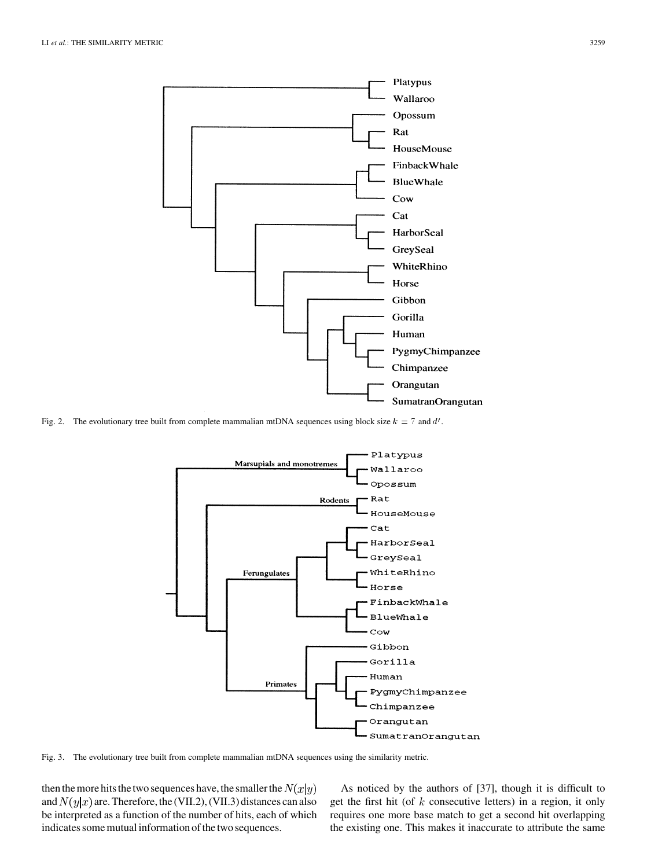

Fig. 2. The evolutionary tree built from complete mammalian mtDNA sequences using block size  $k = 7$  and d'.



Fig. 3. The evolutionary tree built from complete mammalian mtDNA sequences using the similarity metric.

then the more hits the two sequences have, the smaller the  $N(x|y)$ and  $N(y|x)$  are. Therefore, the (VII.2), (VII.3) distances can also be interpreted as a function of the number of hits, each of which indicates some mutual information of the two sequences.

As noticed by the authors of [\[37\]](#page-13-0), though it is difficult to get the first hit (of  $k$  consecutive letters) in a region, it only requires one more base match to get a second hit overlapping the existing one. This makes it inaccurate to attribute the same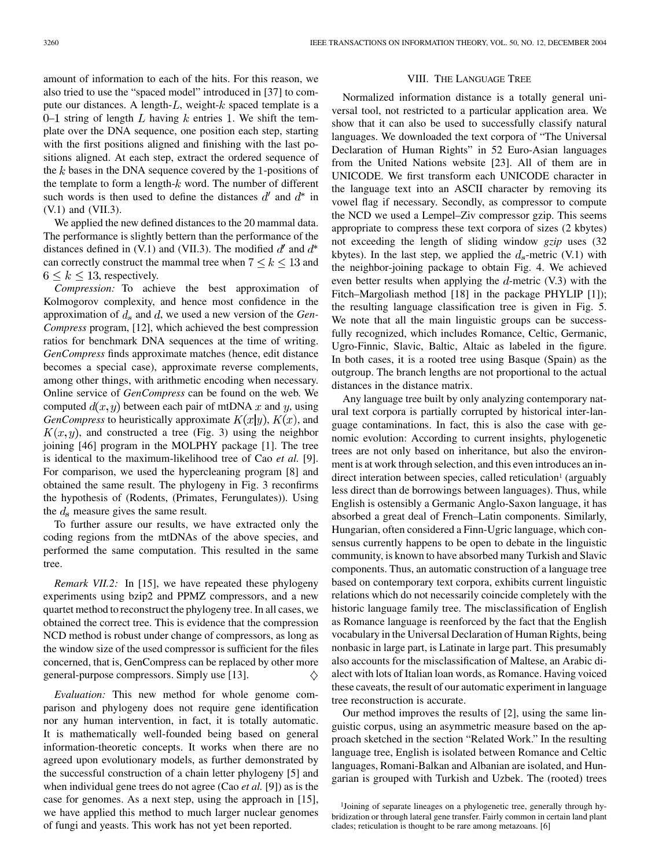amount of information to each of the hits. For this reason, we also tried to use the "spaced model" introduced in [\[37](#page-13-0)] to compute our distances. A length- $L$ , weight- $k$  spaced template is a 0–1 string of length L having k entries 1. We shift the template over the DNA sequence, one position each step, starting with the first positions aligned and finishing with the last positions aligned. At each step, extract the ordered sequence of the k bases in the DNA sequence covered by the 1-positions of the template to form a length- $k$  word. The number of different such words is then used to define the distances  $d'$  and  $d^*$  in (V.1) and (VII.3).

We applied the new defined distances to the 20 mammal data. The performance is slightly bettern than the performance of the distances defined in (V.1) and (VII.3). The modified  $d'$  and  $d^*$ can correctly construct the mammal tree when  $7 \leq k \leq 13$  and  $6 \leq k \leq 13$ , respectively.

*Compression:* To achieve the best approximation of Kolmogorov complexity, and hence most confidence in the approximation of  $d_s$  and  $d$ , we used a new version of the *Gen*-*Compress* program, [[12\]](#page-13-0), which achieved the best compression ratios for benchmark DNA sequences at the time of writing. *GenCompress* finds approximate matches (hence, edit distance becomes a special case), approximate reverse complements, among other things, with arithmetic encoding when necessary. Online service of *GenCompress* can be found on the web. We computed  $d(x, y)$  between each pair of mtDNA x and y, using *GenCompress* to heuristically approximate  $K(x|y)$ ,  $K(x)$ , and  $K(x, y)$ , and constructed a tree (Fig. 3) using the neighbor joining [[46\]](#page-14-0) program in the MOLPHY package [\[1](#page-13-0)]. The tree is identical to the maximum-likelihood tree of Cao *et al.* [[9\]](#page-13-0). For comparison, we used the hypercleaning program [\[8](#page-13-0)] and obtained the same result. The phylogeny in Fig. 3 reconfirms the hypothesis of (Rodents, (Primates, Ferungulates)). Using the  $d_s$  measure gives the same result.

To further assure our results, we have extracted only the coding regions from the mtDNAs of the above species, and performed the same computation. This resulted in the same tree.

*Remark VII.2:* In [\[15](#page-13-0)], we have repeated these phylogeny experiments using bzip2 and PPMZ compressors, and a new quartet method to reconstruct the phylogeny tree. In all cases, we obtained the correct tree. This is evidence that the compression NCD method is robust under change of compressors, as long as the window size of the used compressor is sufficient for the files concerned, that is, GenCompress can be replaced by other more ♦ general-purpose compressors. Simply use [\[13](#page-13-0)].

*Evaluation:* This new method for whole genome comparison and phylogeny does not require gene identification nor any human intervention, in fact, it is totally automatic. It is mathematically well-founded being based on general information-theoretic concepts. It works when there are no agreed upon evolutionary models, as further demonstrated by the successful construction of a chain letter phylogeny [\[5](#page-13-0)] and when individual gene trees do not agree (Cao *et al.* [\[9](#page-13-0)]) as is the case for genomes. As a next step, using the approach in [[15\]](#page-13-0), we have applied this method to much larger nuclear genomes of fungi and yeasts. This work has not yet been reported.

## VIII. THE LANGUAGE TREE

Normalized information distance is a totally general universal tool, not restricted to a particular application area. We show that it can also be used to successfully classify natural languages. We downloaded the text corpora of "The Universal Declaration of Human Rights" in 52 Euro-Asian languages from the United Nations website [[23](#page-13-0)]. All of them are in UNICODE. We first transform each UNICODE character in the language text into an ASCII character by removing its vowel flag if necessary. Secondly, as compressor to compute the NCD we used a Lempel–Ziv compressor gzip. This seems appropriate to compress these text corpora of sizes (2 kbytes) not exceeding the length of sliding window *gzip* uses (32 kbytes). In the last step, we applied the  $d_s$ -metric (V.1) with the neighbor-joining package to obtain Fig. 4. We achieved even better results when applying the  $d$ -metric (V.3) with the Fitch–Margoliash method [[18\]](#page-13-0) in the package PHYLIP [\[1](#page-13-0)]); the resulting language classification tree is given in Fig. 5. We note that all the main linguistic groups can be successfully recognized, which includes Romance, Celtic, Germanic, Ugro-Finnic, Slavic, Baltic, Altaic as labeled in the figure. In both cases, it is a rooted tree using Basque (Spain) as the outgroup. The branch lengths are not proportional to the actual distances in the distance matrix.

Any language tree built by only analyzing contemporary natural text corpora is partially corrupted by historical inter-language contaminations. In fact, this is also the case with genomic evolution: According to current insights, phylogenetic trees are not only based on inheritance, but also the environment is at work through selection, and this even introduces an indirect interation between species, called reticulation<sup>1</sup> (arguably less direct than de borrowings between languages). Thus, while English is ostensibly a Germanic Anglo-Saxon language, it has absorbed a great deal of French–Latin components. Similarly, Hungarian, often considered a Finn-Ugric language, which consensus currently happens to be open to debate in the linguistic community, is known to have absorbed many Turkish and Slavic components. Thus, an automatic construction of a language tree based on contemporary text corpora, exhibits current linguistic relations which do not necessarily coincide completely with the historic language family tree. The misclassification of English as Romance language is reenforced by the fact that the English vocabulary in the Universal Declaration of Human Rights, being nonbasic in large part, is Latinate in large part. This presumably also accounts for the misclassification of Maltese, an Arabic dialect with lots of Italian loan words, as Romance. Having voiced these caveats, the result of our automatic experiment in language tree reconstruction is accurate.

Our method improves the results of [[2\]](#page-13-0), using the same linguistic corpus, using an asymmetric measure based on the approach sketched in the section "Related Work." In the resulting language tree, English is isolated between Romance and Celtic languages, Romani-Balkan and Albanian are isolated, and Hungarian is grouped with Turkish and Uzbek. The (rooted) trees

<sup>&</sup>lt;sup>1</sup>Joining of separate lineages on a phylogenetic tree, generally through hybridization or through lateral gene transfer. Fairly common in certain land plant clades; reticulation is thought to be rare among metazoans. [[6\]](#page-13-0)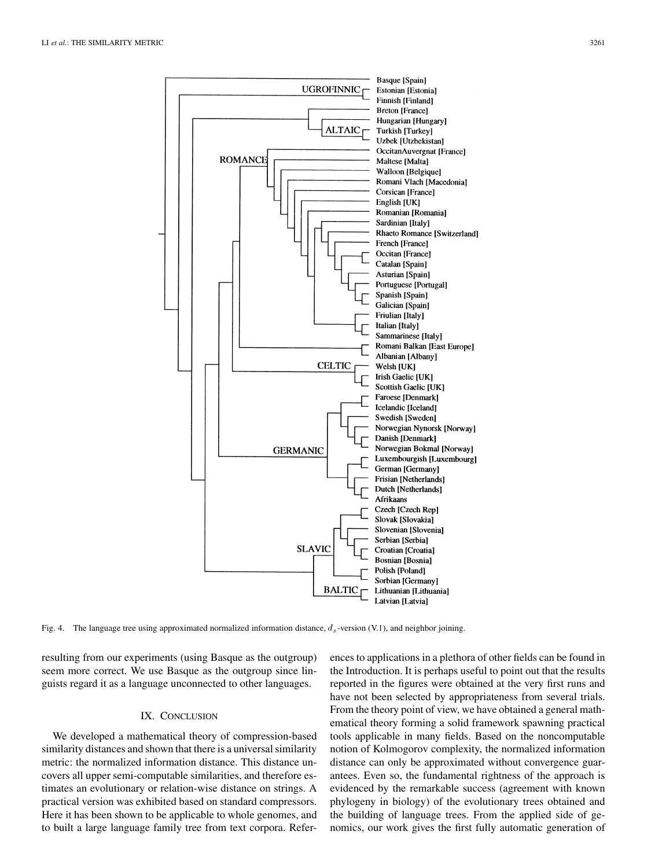

Fig. 4. The language tree using approximated normalized information distance,  $d_s$ -version (V.1), and neighbor joining.

resulting from our experiments (using Basque as the outgroup) seem more correct. We use Basque as the outgroup since linguists regard it as a language unconnected to other languages.

## IX. CONCLUSION

We developed a mathematical theory of compression-based similarity distances and shown that there is a universal similarity metric: the normalized information distance. This distance uncovers all upper semi-computable similarities, and therefore estimates an evolutionary or relation-wise distance on strings. A practical version was exhibited based on standard compressors. Here it has been shown to be applicable to whole genomes, and to built a large language family tree from text corpora. References to applications in a plethora of other fields can be found in the Introduction. It is perhaps useful to point out that the results reported in the figures were obtained at the very first runs and have not been selected by appropriateness from several trials. From the theory point of view, we have obtained a general mathematical theory forming a solid framework spawning practical tools applicable in many fields. Based on the noncomputable notion of Kolmogorov complexity, the normalized information distance can only be approximated without convergence guarantees. Even so, the fundamental rightness of the approach is evidenced by the remarkable success (agreement with known phylogeny in biology) of the evolutionary trees obtained and the building of language trees. From the applied side of genomics, our work gives the first fully automatic generation of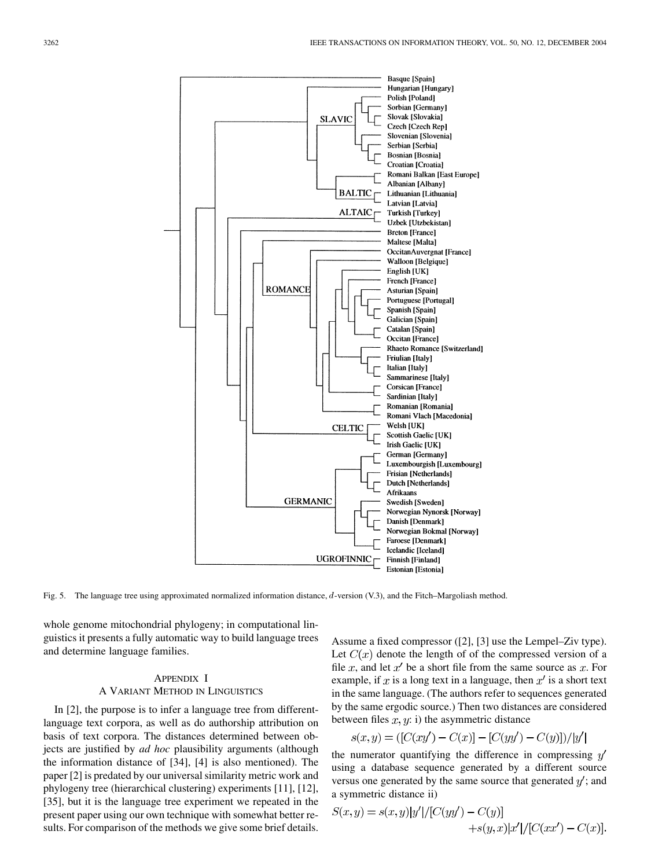

Fig. 5. The language tree using approximated normalized information distance, d-version (V.3), and the Fitch–Margoliash method.

whole genome mitochondrial phylogeny; in computational linguistics it presents a fully automatic way to build language trees and determine language families.

# APPENDIX I A VARIANT METHOD IN LINGUISTICS

In [[2\]](#page-13-0), the purpose is to infer a language tree from differentlanguage text corpora, as well as do authorship attribution on basis of text corpora. The distances determined between objects are justified by *ad hoc* plausibility arguments (although the information distance of [\[34](#page-13-0)], [\[4](#page-13-0)] is also mentioned). The paper [[2\]](#page-13-0) is predated by our universal similarity metric work and phylogeny tree (hierarchical clustering) experiments [\[11](#page-13-0)], [[12\]](#page-13-0), [[35\]](#page-13-0), but it is the language tree experiment we repeated in the present paper using our own technique with somewhat better results. For comparison of the methods we give some brief details.

Assume a fixed compressor ([\[2](#page-13-0)], [\[3\]](#page-13-0) use the Lempel–Ziv type). Let  $C(x)$  denote the length of of the compressed version of a file x, and let  $x'$  be a short file from the same source as x. For example, if x is a long text in a language, then  $x'$  is a short text in the same language. (The authors refer to sequences generated by the same ergodic source.) Then two distances are considered between files  $x, y$ : i) the asymmetric distance

$$
s(x, y) = ([C(xy') - C(x)] - [C(yy') - C(y)])/|y'|
$$

the numerator quantifying the difference in compressing  $y'$ using a database sequence generated by a different source versus one generated by the same source that generated  $y'$ ; and a symmetric distance ii)

$$
S(x,y) = s(x,y)|y'|/[C(yy') - C(y)]
$$
  
+
$$
s(y,x)|x'|/[C(xx') - C(x)].
$$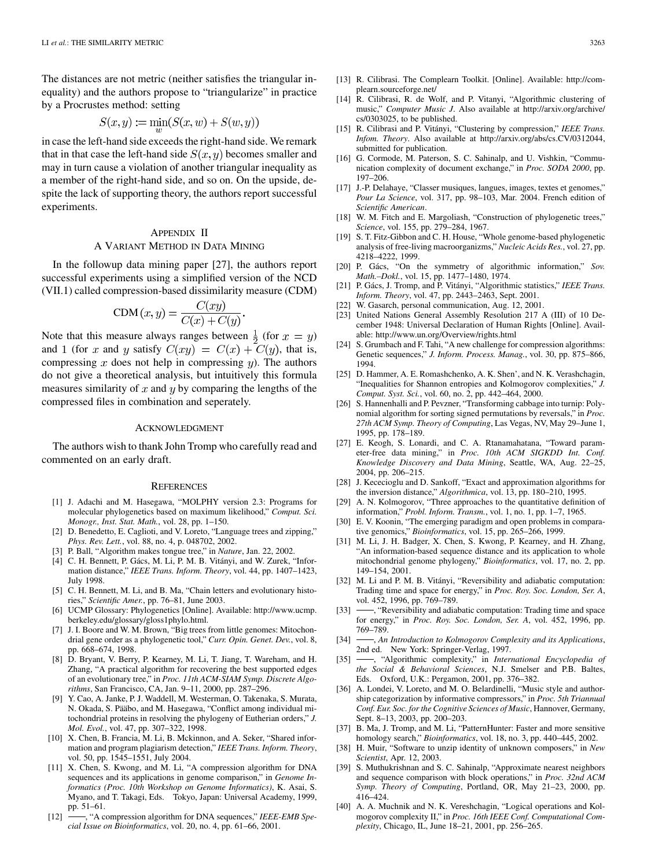<span id="page-13-0"></span>The distances are not metric (neither satisfies the triangular inequality) and the authors propose to "triangularize" in practice by a Procrustes method: setting

$$
S(x, y) := \min(S(x, w) + S(w, y))
$$

in case the left-hand side exceeds the right-hand side. We remark that in that case the left-hand side  $S(x, y)$  becomes smaller and may in turn cause a violation of another triangular inequality as a member of the right-hand side, and so on. On the upside, despite the lack of supporting theory, the authors report successful experiments.

# APPENDIX II A VARIANT METHOD IN DATA MINING

In the followup data mining paper [27], the authors report successful experiments using a simplified version of the NCD (VII.1) called compression-based dissimilarity measure (CDM)

CDM 
$$
(x, y) = \frac{C(xy)}{C(x) + C(y)}
$$

Note that this measure always ranges between  $\frac{1}{2}$  (for  $x = y$ ) and 1 (for x and y satisfy  $C(xy) = C(x) + C(y)$ , that is, compressing  $x$  does not help in compressing  $y$ ). The authors do not give a theoretical analysis, but intuitively this formula measures similarity of  $x$  and  $y$  by comparing the lengths of the compressed files in combination and seperately.

# ACKNOWLEDGMENT

The authors wish to thank John Tromp who carefully read and commented on an early draft.

#### **REFERENCES**

- [1] J. Adachi and M. Hasegawa, "MOLPHY version 2.3: Programs for molecular phylogenetics based on maximum likelihood," *Comput. Sci. Monogr., Inst. Stat. Math.*, vol. 28, pp. 1–150.
- [2] D. Benedetto, E. Caglioti, and V. Loreto, "Language trees and zipping," *Phys. Rev. Lett.*, vol. 88, no. 4, p. 048702, 2002.
- [3] P. Ball, "Algorithm makes tongue tree," in *Nature*, Jan. 22, 2002.
- [4] C. H. Bennett, P. Gács, M. Li, P. M. B. Vitányi, and W. Zurek, "Information distance," *IEEE Trans. Inform. Theory*, vol. 44, pp. 1407–1423, July 1998.
- [5] C. H. Bennett, M. Li, and B. Ma, "Chain letters and evolutionary histories," *Scientific Amer.*, pp. 76–81, June 2003.
- [6] UCMP Glossary: Phylogenetics [Online]. Available: http://www.ucmp. berkeley.edu/glossary/gloss1phylo.html.
- [7] J. I. Boore and W. M. Brown, "Big trees from little genomes: Mitochondrial gene order as a phylogenetic tool," *Curr. Opin. Genet. Dev.*, vol. 8, pp. 668–674, 1998.
- [8] D. Bryant, V. Berry, P. Kearney, M. Li, T. Jiang, T. Wareham, and H. Zhang, "A practical algorithm for recovering the best supported edges of an evolutionary tree," in *Proc. 11th ACM-SIAM Symp. Discrete Algorithms*, San Francisco, CA, Jan. 9–11, 2000, pp. 287–296.
- [9] Y. Cao, A. Janke, P. J. Waddell, M. Westerman, O. Takenaka, S. Murata, N. Okada, S. Pääbo, and M. Hasegawa, "Conflict among individual mitochondrial proteins in resolving the phylogeny of Eutherian orders," *J. Mol. Evol.*, vol. 47, pp. 307–322, 1998.
- [10] X. Chen, B. Francia, M. Li, B. Mckinnon, and A. Seker, "Shared information and program plagiarism detection," *IEEE Trans. Inform. Theory*, vol. 50, pp. 1545–1551, July 2004.
- [11] X. Chen, S. Kwong, and M. Li, "A compression algorithm for DNA sequences and its applications in genome comparison," in *Genome Informatics (Proc. 10th Workshop on Genome Informatics)*, K. Asai, S. Myano, and T. Takagi, Eds. Tokyo, Japan: Universal Academy, 1999, pp. 51–61.
- [12] , "A compression algorithm for DNA sequences," *IEEE-EMB Special Issue on Bioinformatics*, vol. 20, no. 4, pp. 61–66, 2001.
- [13] R. Cilibrasi. The Complearn Toolkit. [Online]. Available: http://complearn.sourceforge.net/
- [14] R. Cilibrasi, R. de Wolf, and P. Vitanyi, "Algorithmic clustering of music," *Computer Music J*. Also available at http://arxiv.org/archive/ cs/0303025, to be published.
- [15] R. Cilibrasi and P. Vitányi, "Clustering by compression," *IEEE Trans. Infom. Theory*. Also available at http://arxiv.org/abs/cs.CV/0312044, submitted for publication.
- [16] G. Cormode, M. Paterson, S. C. Sahinalp, and U. Vishkin, "Communication complexity of document exchange," in *Proc. SODA 2000*, pp. 197–206.
- [17] J.-P. Delahaye, "Classer musiques, langues, images, textes et genomes," *Pour La Science*, vol. 317, pp. 98–103, Mar. 2004. French edition of *Scientific American*.
- [18] W. M. Fitch and E. Margoliash, "Construction of phylogenetic trees," *Science*, vol. 155, pp. 279–284, 1967.
- [19] S. T. Fitz-Gibbon and C. H. House, "Whole genome-based phylogenetic analysis of free-living macroorganizms," *Nucleic Acids Res.*, vol. 27, pp. 4218–4222, 1999.
- [20] P. Gács, "On the symmetry of algorithmic information," *Sov. Math.–Dokl.*, vol. 15, pp. 1477–1480, 1974.
- [21] P. Gács, J. Tromp, and P. Vitányi, "Algorithmic statistics," *IEEE Trans. Inform. Theory*, vol. 47, pp. 2443–2463, Sept. 2001.
- [22] W. Gasarch, personal communication, Aug. 12, 2001.
- [23] United Nations General Assembly Resolution 217 A (III) of 10 December 1948: Universal Declaration of Human Rights [Online]. Available: http://www.un.org/Overview/rights.html
- [24] S. Grumbach and F. Tahi, "A new challenge for compression algorithms: Genetic sequences," *J. Inform. Process. Manag.*, vol. 30, pp. 875–866, 1994.
- [25] D. Hammer, A. E. Romashchenko, A. K. Shen', and N. K. Verashchagin, "Inequalities for Shannon entropies and Kolmogorov complexities," *J. Comput. Syst. Sci.*, vol. 60, no. 2, pp. 442–464, 2000.
- [26] S. Hannenhalli and P. Pevzner, "Transforming cabbage into turnip: Polynomial algorithm for sorting signed permutations by reversals," in *Proc. 27th ACM Symp. Theory of Computing*, Las Vegas, NV, May 29–June 1, 1995, pp. 178–189.
- [27] E. Keogh, S. Lonardi, and C. A. Rtanamahatana, "Toward parameter-free data mining," in *Proc. 10th ACM SIGKDD Int. Conf. Knowledge Discovery and Data Mining*, Seattle, WA, Aug. 22–25, 2004, pp. 206–215.
- [28] J. Kececioglu and D. Sankoff, "Exact and approximation algorithms for the inversion distance," *Algorithmica*, vol. 13, pp. 180–210, 1995.
- [29] A. N. Kolmogorov, "Three approaches to the quantitative definition of information," *Probl. Inform. Transm.*, vol. 1, no. 1, pp. 1–7, 1965.
- [30] E. V. Koonin, "The emerging paradigm and open problems in comparative genomics," *Bioinformatics*, vol. 15, pp. 265–266, 1999.
- [31] M. Li, J. H. Badger, X. Chen, S. Kwong, P. Kearney, and H. Zhang, "An information-based sequence distance and its application to whole mitochondrial genome phylogeny," *Bioinformatics*, vol. 17, no. 2, pp. 149–154, 2001.
- [32] M. Li and P. M. B. Vitányi, "Reversibility and adiabatic computation: Trading time and space for energy," in *Proc. Roy. Soc. London, Ser. A*, vol. 452, 1996, pp. 769–789.
- [33]  $\rightarrow$ , "Reversibility and adiabatic computation: Trading time and space for energy," in *Proc. Roy. Soc. London, Ser. A*, vol. 452, 1996, pp. 769–789.
- [34]  $\longrightarrow$ , An Introduction to Kolmogorov Complexity and its Applications, 2nd ed. New York: Springer-Verlag, 1997.
- [35] -, "Algorithmic complexity," in *International Encyclopedia of the Social & Behavioral Sciences*, N.J. Smelser and P.B. Baltes, Eds. Oxford, U.K.: Pergamon, 2001, pp. 376–382.
- [36] A. Londei, V. Loreto, and M. O. Belardinelli, "Music style and authorship categorization by informative compressors," in *Proc. 5th Triannual Conf. Eur. Soc. for the Cognitive Sciences of Music*, Hannover, Germany, Sept. 8–13, 2003, pp. 200–203.
- [37] B. Ma, J. Tromp, and M. Li, "PatternHunter: Faster and more sensitive homology search," *Bioinformatics*, vol. 18, no. 3, pp. 440–445, 2002.
- [38] H. Muir, "Software to unzip identity of unknown composers," in *New Scientist*, Apr. 12, 2003.
- [39] S. Muthukrishnan and S. C. Sahinalp, "Approximate nearest neighbors and sequence comparison with block operations," in *Proc. 32nd ACM Symp. Theory of Computing*, Portland, OR, May 21–23, 2000, pp. 416–424.
- [40] A. A. Muchnik and N. K. Vereshchagin, "Logical operations and Kolmogorov complexity II," in *Proc. 16th IEEE Conf. Computational Complexity*, Chicago, IL, June 18–21, 2001, pp. 256–265.